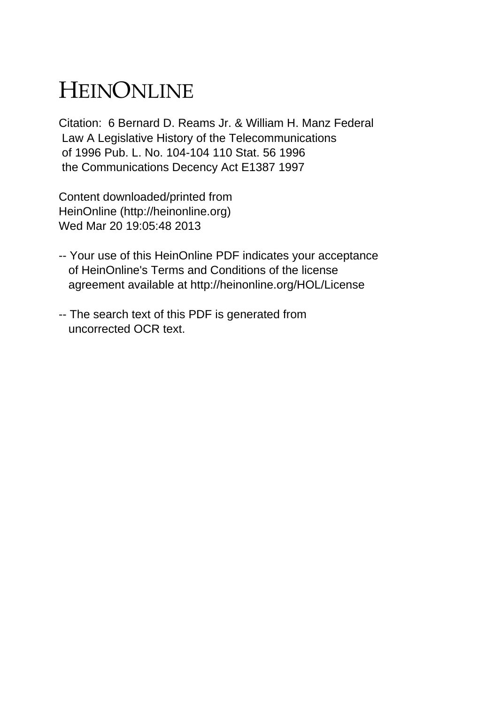# HEINONLINE

Citation: 6 Bernard D. Reams Jr. & William H. Manz Federal Law A Legislative History of the Telecommunications of 1996 Pub. L. No. 104-104 110 Stat. 56 1996 the Communications Decency Act E1387 1997

Content downloaded/printed from HeinOnline (http://heinonline.org) Wed Mar 20 19:05:48 2013

- -- Your use of this HeinOnline PDF indicates your acceptance of HeinOnline's Terms and Conditions of the license agreement available at http://heinonline.org/HOL/License
- -- The search text of this PDF is generated from uncorrected OCR text.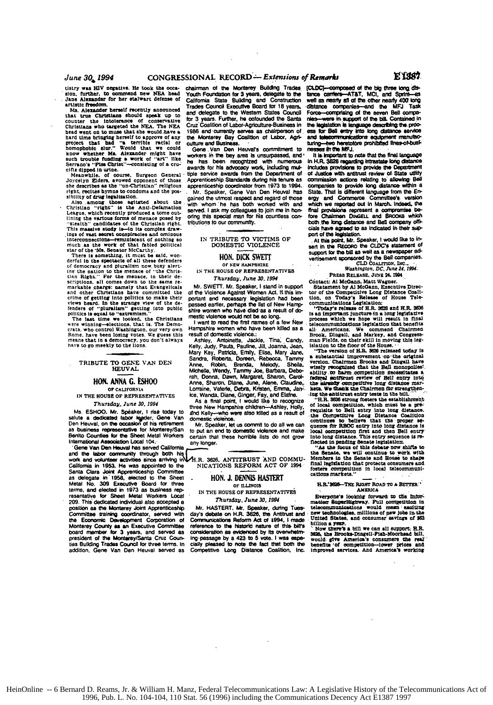tistry **was RIV** negative. He took the **occa-** chairman **of the** Monterey Bukllng Trades sion. further. to commend new NEA head Jane Alexander for her stalwart defense of

Christians who targeted the NEA. The NEA Cruz Coslidion of Labor-Agriculture-Business in the target went on to muse that she would have a 1986 and currently serves as chaingers on that dime bringing herself to approve of a

Joycelyn. Eiders, avowed opponent of those. Apprenticeship Standards during his tenure as<br>she describes as the "un-Christian" religious. apprenticeship coordinator from 1973 to 1994.<br>right, recites bymns to condoms and the

This massive **swidy is-4n** Its complex draw. Interconnections—reminiscent of nothing so<br>interconnections—reminiscent of nothing so IN TRIBUTE TO VICTIMS OF<br>much as the work of that fielded political DOMESTIC VIOLENCE<br>star of the '50s, Senator McCarthy.

There is something, it must be said, won-<br>derful in the spectacle of all these defenders<br>of democracy and pluralism now, busy alert.<br>ing the nation to the menace of "the Chris-<br>ing the nation to the menace of "the Christian **Right."** For the menace, in their de-<br>scriptions. all comes down to the same re-<br>*Thursday, June 30, 1994* **and** other Christians have committed the **of** the Violence Against Women Act. **It** this in-

erime of getting into politics to make their portant and necessary legislation had been<br>views beard. In the strange view of the de- passed sellier, perhaps the list of New Hamps<br>fenders of "pluralism" getting into public s

**IN** THE **HOUSE** OF REPRESENTATIVES ice. Wands. Diane. Ginger. **Fay, end** Elaine.

**Ms ESHOO.** Mr. Spaker. **I** *ise* today to d Kelly-who were also **Idlled** as **a** result **of** salute a dedicated tabor **lder,** Gene Van domestic violence. **Den** Heuval, on the occasion of his retirement Mr. Speaker. let **us** commit to do all we **can**

'Gene Van Den **Heuvaf** has served Calilornia and the labor community through both his<br>work and volunteer activities since arriving in Calilomia in **1953. He** was appointed to the **NICATIONS** REFORM **ACT** OF **1994** Santa Clara Joint Apprenticeship Committee-**as** delegate **in 1958.** elected to the Sheet **. HON. J. DENNIS HASEr** Metal No. 309 Executive Board for three OF ILINOIS<br>terms, and elected in 1973 as business rep-<br>IN THE HOUSE OF REPRESENTATIVES resentative *foe* Sheet Metal Workers Local resemanye for Sheet Metal Workers Local<br>209. This dedicated individual also accepted a **a** *Thursday, June 30, 1994*<br>position as the Monterey Joint Apprenticeship Mr. HASTERT. Mr. Speaker, dur Committee training coordinator, served with day's **debate on H.R. 3626.** the Antitrust and the Economic Development Corporation of Comsre iationa Reform Act of 4994, **1** made Monterey County as an Executive Committee reference to the historic nature of this bill's<br>board member for 3 years, and served as consideration as evidenced by its overwhelm<br>president of the Monterey/Santa Cruz County ing

Jane Alexander for her stalwart defense of California State Building and Construction<br>artistic freedom. **In a Trades Council Executive Board for 18 years 11.13.1. The Malexander herself recently announced Traces Council Executive Board and that true Christians should speak up to and delegate to the Western Slates Council council council speak up to**  $\frac{1}{2}$  **that the speak** counter the **intolerance Of conservative** for **3** years. Further. **he** cofounded **the** Sant

Meanwhile. **of** course. Surgeon General **tipe** service awards from **the** Dopartnent **of**

sibility of drug legalization.<br>
Also annong those agitated shout the gained the utmost respect and regard of those<br>
Christian "right" is the Anti-Defamation with whom he has both worked with and<br>
Christian "right" is the A

Mr. SWETT. Mr. Speaker, I stand in support of the Violence Against Women Act. If this im-

Mary Kay, Patricia, Emily, Elise, Mary Jane,<br>
Sandra, Roberta, Doreen, Reborca, Tanney, Reborca, Tanney<br>
High Michael Mare, Robin, Brenda, Melody, Shella,<br>
Michael Michael Michael (Wendy, Tanmy Joe, Barbara, Debr<br>
Nicht, D **HOL AM G. ESHOO** Anne, Sharon. **Diane,** June. Alene. Claudia,. or CAUFOR.IA Lorraine, Valerie. Debra. **Krsten.** Emma. *Jan-,*

Thursday.. June *30.1994* As a final point, **I** would like to recognize three New Harmphire children-Ashley. Holly.

as business representative for Monterey/San to put an end to domestic violence and make Benito Counties for **the** Sheet Metal Workers certain that these horrible **lists** do not grow Benito Counties for the Sheet Metal Workers certain that these horrible lists do not grow<br>International Association Local 104. any longer.

**H.R. 3626, ANTITRUST AND COMMU-<br>NICATIONS REFORM ACT OF 1994** 

Mr. HASTERT. Mr. Speaker, during Tues-<br>day's debate on H.R. 3626, the Antitrust and<br>Communications Reform Act of 1994, I-made

CtDC-omrrpoeed of **the big three** lon **dls-** *tance* Crier--AT&T, **MCI.** *and* **SpMM--M** tance carriers---AT&T, MCI, and Sprim---as<br>well as meany all of the other nearly 400 long<br>distance companies--and the MFJ Task Force-omprising of **the** Seven Bell **comps**hies-were in support of the bill. Contained in<br>the legislation is language describing the proc**ess for Bell entry into long distance service**<br>and telesommunications equipment manufacturing-two heretofore prohibited fines-of-busiburing.-hilo heretoibre **prohibited** flneir-ot-ust-

eesA **te MFJ.** It **Is knportant** to note **thid th** final language In H.R. **3820** regarding lutlraetais, **long** distance Includes provisions to provide the Depaieilnf of Justice with antitrust review of State utility<br>commission actions relating to allowing Ball companies to provide long distance within a State. That is different language from the Energy and **Commerce Comnitiee's** version which we reported out in March. Indeed, the<br>final provisions represent a compromise be-<br>fore Chairmen DinGELL and BROOKS which both the long distance and Bell company officials have agreed to as indicated in their support of the legislation.<br>port of the legislation.<br>At this point, Mr. Speaker, I would like to in-

sert in the **RECORO** the CLDC's statement of support for the bill as well as a newspaper advertisement sponsored by the Bell companies.<br>**CLD** CoALTTON, INC... *Washington, DC, June 24, 19M.* 

PRESS RELEASE, JUNE 24, 1994.<br>Contact: Al McGann. Matt Wagner.

Ccntact: **Al McGann.** Matt Wagner. Statement **by Al** McGann. Executive Direc- tor of the Competitive Long Distance Coali-

tion, on Today's Release of House Tele-<br>communications Legislation:<br>communications Legislation:<br>"Today's relisse of H.R. 3626 and H.R. 3636<br>process which we hope will result in final<br>telecommunications legislations that be

wisely recognized that the Ball monopolies<br>ability to harm competition necessitates a federal antifying from of Bell entry in<br>title already competitive long distance markets. We finally competitive long distance markets.<br>W

Ing the antitrust entry tests in the bill.<br>
"HR. 2838 is rong fosters the stabilishment of local competition, which must be a pre-<br>
"HR. 2838 is rong listance Coalition of local competitive Long Distance Coalition<br>
continu

**H.R.'3626-THE RIGHT ROAD TO A BETTER:** 

Everyone's looking forward to the information in telecommunications of the local communication would mean exciting new telection would mean exciting

United States, and consumer savings of \$63<br>billion a year.<br>The can all support: H.R.<br>Now there's a bill we can all support: H.R.<br>Now the Brooke-Dingell-Fiah-Moorhaad bill,<br>would give America's consumers the real<br>benefits '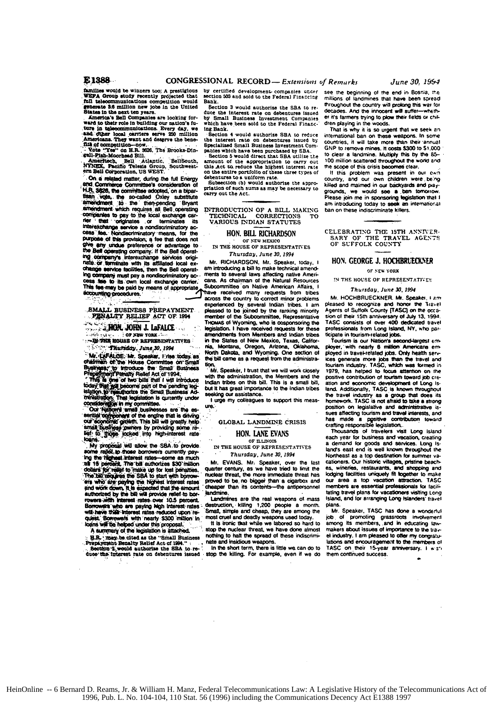E1388

families would be winners too; A prestigious<br>WEFA Group study recently projected that<br>full telecommunications competition would ate 3.6 million new jobs in the United States in the next ten years.

States in the next ten years.<br>
America's Bell Companies are looking for-<br>
Marcia's Bell Companies are looking for-<br>
vard to their role in building our nation's fu-<br>
ture in telecommunications. Every day, we<br>
and char-<br>
hea 

file of competition-now.<br>
"Wors "You" on H.R. Scot, The Brooks-Din-gell-Pish-Moorhead Bill.<br>
"Americach, Bell (Atlantic, BellSouth, Americach, Bell Corporation, US WEST.<br>
"Anglic Telesis Group, Southwest-ern Bell Corporati

On a related matter, during the full Energy and Commerce Committee's consideration of H.R. 3626, the committee adopted, on a biparthan vote, the so-called Oxley substitute<br>amendment to the then-pending Bryant<br>amendment which requires all Bell operating companies to pay to the local exchange car-The that originates or terminates its<br>interest-change service a nondiscriminatory ac-<br>ceas ites. Nondiscriminatory means, for the purpose of this provision, a fee that does not e any undue preference or advantage to the Bell operating company. If the Bell operating<br>ing company's interexchange services originate or terminate with its affiliated local exchange service facilities, then the Bell operating company must pay a nondiscriminatory access fee to its own local exchange carrier.<br>This fee may be paid by means of appropriate accounting procedures.

SMALL BUSINESS PREPAYMENT<br>PENALTY RELIEF ACT OF 1994

ری روس **JON. JOHN J. LaFALCE** 

الأودر and who  $\cdots$  of New York  $\cdots$ -DI THE HOUSE OF REPRESENTATIVES

Thursday, June 30, 1994 Mr. LAFALOE, Mr. Speaker, I rise today as

www.rupFALOSE: Mr. Speaker, I rise today, as<br>chairman of the House Committee on Small Susiness<br>Business, to introduce the Small Business<br>Preparting in the other small Business<br>The gas yield of two bills that I will introdu

van suppression in currently under<br>Constanting in my committee.<br>Constanting in mail businesses are the esemited committee of the ending of the estimate of the committee of the committee of the constanting some re-<br>In a sma

My proposal will allow the SBA to provide some rali st to those borrowers currently paysome repeated interest rates-some as much<br>the thighest interest rates-some as much<br>as 15 percent. The bill authorizes \$30 million as to persons. The case automates sources and detailed for the ball requires the SBA to start with borrow-<br>ers who are paying the SBA to start with borrow-<br>ers who are paying the highest interest rates and work down. It is rowers with interest rates over 10.5 percent.<br>Borrowers who are paying high interest rates will have their interest rates reduced upon reloans will be helped under this proposal.

A summary of the legislation is attached.

H.R. : may be cited as the "Small Business"<br>Prepayment Benalty Relief Act of 1994."<br>Cootinn 2, would authorize the SBA to reduce the interest rate on debentures issued

by certified development companies under<br>section 503 and sold to the Federal Financing Bank.

Section 3 would authorize the SBA to re duce ce the interest rate on debentures issued<br>Small Business Investment Companies bv which have been sold to the Federal Financy nath have been sold to the redefar rinkic-<br>ing Bank.<br>Section 4 would authorize SBA to reduce

the interest rate on debentures issued by Specialized Small Business Investment Com-<br>panies which have been purchased by SBA. Section 5 would direct that SBA utilize the

section of the appropriation to carry out<br>this Act to reduce the highest interest rate<br>on the entire portfolio of these three types of debentures to a uniform rate.

Subsection (b) would authorize the appro-<br>riation of such sums as may be necessary to carry out the Act.

## INTRODUCTION OF A BILL MAKING TECHNICAL **CORRECTIONS** VARIOUS INDIAN STATUTES

## HON. BILL RICHARDSON OF NEW MEXICO

IN THE HOUSE OF REPRESENTATIVES Thursday, June 30, 1994

Mr. RICHARDSON. Mr. Speaker, today, I am introducing a bill to make technical amendments to several laws affecting native Americans. As chairman of the Natural Resources Subcommittee on Native American Affairs, I thave received many requests from tribes<br>across the country to correct minor problems experienced by several Indian tribes. I am pleased to be joined by the ranking minority member of the Subcommittee, Representativ Thomas of Wyoming, who is cosponsoring the legislation. I have received requests for amendments from Members and Indian tribes in the States of New Mexico, Texas, Califor nia. Montana. Oregon. Arizona. Oklahoma. North Dakota, and Wyoming. One section of the hill came as a remiest from the administration.

Mr. Sneaker, I must that we will work closel with the administration, the Members and the indian tribes on this bill. This is a small bill. but it has great importance to the Indian tribes king our assistance.

I urge my colleagues to support this measure.

GLOBAL LANDMINE CRISIS

## HON. LANE EVANS OF ILLINOIS

IN THE HOUSE OF REPRESENTATIVES Thursday, June 30, 1994

Mr. EVANS. Mr. Speaker, over the last<br>quarter century, as we have tried to limit the nuclear threat, the more immediate threat has proved to be no bigger than a cigarbox and<br>cheaper than its contents-the antipersonnel landmine

Landmines are the real weapons of mass destruction, killing 1,200 people a month.<br>Small, simple and cheap, they are among the most cruel and deadly weapons used today

It is ironic that while we labored so hard to stop the nuclear threat, we have done almost nothing to halt the spread of these indiscriminate and insidious weapons.

In the short term, there is little we can do to stop the killing. For example, even if we do

see the beginning of the end in Bosnia, the millions of landmines that have been spread throughout the country will prolong this war for decades. And the innocent will su wheth er it's farmers trying to plow their fields or children playing in the words.

That is why it is so urgent that we seek an international ban on these weapons. In some countries, it will take more than their annual GNP to remove mines. It costs \$300 to \$1,000 to clear a landmine. Multiply this by the 85-100 million scattered throughout the world and the scope of this crisis becomes clear.

If this problem was present in our ewn<br>country, and our own children were being killed and maimed in our backyards and playgrounds, we would see a ban tomorrow. Please join me in sponsoring legislation that I<br>am introducing today to seek an international ban on these indiscriminate killers.

CELEBRATING THE 15TH ANNIVER-THE TRAVEL AGENTS SARY OF OF SUFFOLK COUNTY

# HON. GEORGE J. HOCHBRUECKNER

OF NEW YORK

# IN THE HOUSE OF REPRESENTATIVES

## Thursday, June 30, 1994

Mr. HOCHBRUECKNER. Mr. Speaker, I am pleased to recognize and honor the Travel Agents of Suffolk County [TASC] on the occasion of their 15th anniversary of July 13, 1994.<br>TASC consists of over 400 dedicated travel professionals from Long Island, NY, who particinate in tourism-related inhs.

Tourism is our Nation's second-largest employer, with nearly 6 million Americans employed in travel-related jobs. Only health serve ices generate more jobs than the travel and<br>tourism industry. TASC, which was formed in 1979, has helped to focus attention on the positive contribution of tourism toward inb creation and economic development of Long Is-<br>land. Additionally, TASC is known throughout the travel industry as a group that does its<br>homework. TASC is not afraid to take a strong position on legislative and administrative issues affecting tourism and travel interests, and has made a positive contribution toward<br>crafting responsible legislation.

Thousands of travelers visit Long Island each year for business and vacation, creating a demand for goods and services. Long is-<br>land's east end is well known throughout the Northeast as a top destination for summer vacationers. Our historic villages, pristine beach-<br>es, wineries, restaurants, and shopping and lodging facilities uniquely fit together to make our area a top vacation attraction. TASC. members are essential professionals for faciltating travel plans for vacationers visiting Long Island, and for arranging Long Islanders' fravel plane

Mr. Speaker, TASC has done a wonderful job of promoting grassroots<br>among its members, and in e involvement among its members, and in educating law-<br>makers about issues of importance to the travel industry. I am pleased to offer my congratulations and encouragement to the members of TASC on their 15-year anniversary. I wish them continued success.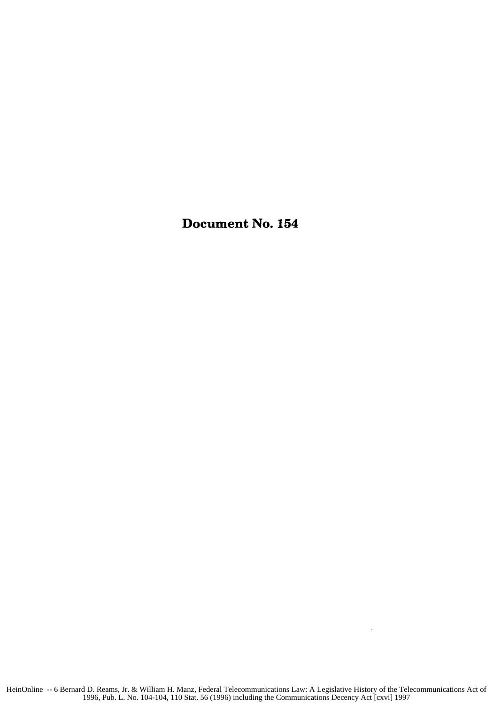Document No. 154

 $\bar{z}$